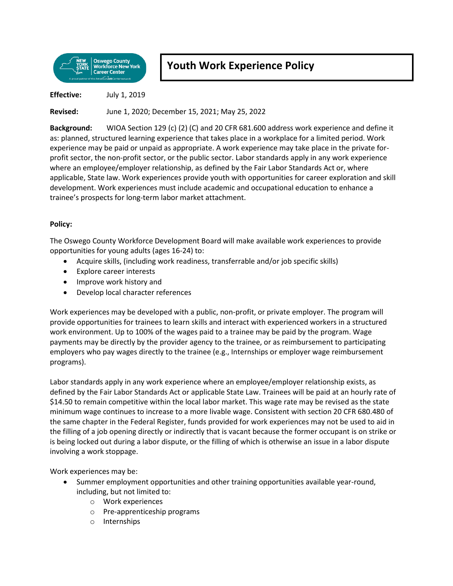

## **Youth Work Experience Policy**

**Effective:** July 1, 2019

**Revised:** June 1, 2020; December 15, 2021; May 25, 2022

**Background:** WIOA Section 129 (c) (2) (C) and 20 CFR 681.600 address work experience and define it as: planned, structured learning experience that takes place in a workplace for a limited period. Work experience may be paid or unpaid as appropriate. A work experience may take place in the private forprofit sector, the non-profit sector, or the public sector. Labor standards apply in any work experience where an employee/employer relationship, as defined by the Fair Labor Standards Act or, where applicable, State law. Work experiences provide youth with opportunities for career exploration and skill development. Work experiences must include academic and occupational education to enhance a trainee's prospects for long-term labor market attachment.

## **Policy:**

The Oswego County Workforce Development Board will make available work experiences to provide opportunities for young adults (ages 16-24) to:

- Acquire skills, (including work readiness, transferrable and/or job specific skills)
- Explore career interests
- Improve work history and
- Develop local character references

Work experiences may be developed with a public, non-profit, or private employer. The program will provide opportunities for trainees to learn skills and interact with experienced workers in a structured work environment. Up to 100% of the wages paid to a trainee may be paid by the program. Wage payments may be directly by the provider agency to the trainee, or as reimbursement to participating employers who pay wages directly to the trainee (e.g., Internships or employer wage reimbursement programs).

Labor standards apply in any work experience where an employee/employer relationship exists, as defined by the Fair Labor Standards Act or applicable State Law. Trainees will be paid at an hourly rate of \$14.50 to remain competitive within the local labor market. This wage rate may be revised as the state minimum wage continues to increase to a more livable wage. Consistent with section 20 CFR 680.480 of the same chapter in the Federal Register, funds provided for work experiences may not be used to aid in the filling of a job opening directly or indirectly that is vacant because the former occupant is on strike or is being locked out during a labor dispute, or the filling of which is otherwise an issue in a labor dispute involving a work stoppage.

Work experiences may be:

- Summer employment opportunities and other training opportunities available year-round, including, but not limited to:
	- o Work experiences
	- o Pre-apprenticeship programs
	- o Internships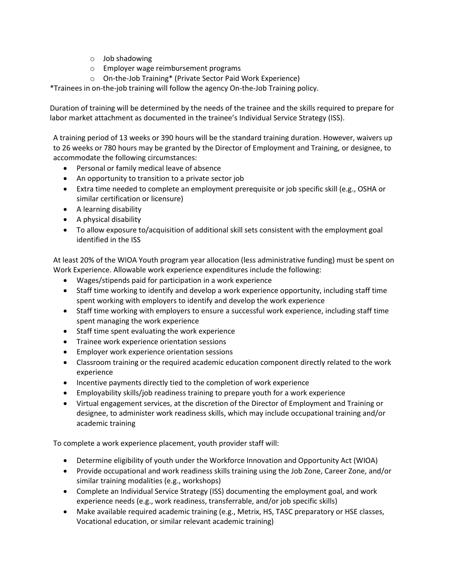- o Job shadowing
- o Employer wage reimbursement programs
- o On-the-Job Training\* (Private Sector Paid Work Experience)

\*Trainees in on-the-job training will follow the agency On-the-Job Training policy.

Duration of training will be determined by the needs of the trainee and the skills required to prepare for labor market attachment as documented in the trainee's Individual Service Strategy (ISS).

A training period of 13 weeks or 390 hours will be the standard training duration. However, waivers up to 26 weeks or 780 hours may be granted by the Director of Employment and Training, or designee, to accommodate the following circumstances:

- Personal or family medical leave of absence
- An opportunity to transition to a private sector job
- Extra time needed to complete an employment prerequisite or job specific skill (e.g., OSHA or similar certification or licensure)
- A learning disability
- A physical disability
- To allow exposure to/acquisition of additional skill sets consistent with the employment goal identified in the ISS

At least 20% of the WIOA Youth program year allocation (less administrative funding) must be spent on Work Experience. Allowable work experience expenditures include the following:

- Wages/stipends paid for participation in a work experience
- Staff time working to identify and develop a work experience opportunity, including staff time spent working with employers to identify and develop the work experience
- Staff time working with employers to ensure a successful work experience, including staff time spent managing the work experience
- Staff time spent evaluating the work experience
- Trainee work experience orientation sessions
- Employer work experience orientation sessions
- Classroom training or the required academic education component directly related to the work experience
- Incentive payments directly tied to the completion of work experience
- Employability skills/job readiness training to prepare youth for a work experience
- Virtual engagement services, at the discretion of the Director of Employment and Training or designee, to administer work readiness skills, which may include occupational training and/or academic training

To complete a work experience placement, youth provider staff will:

- Determine eligibility of youth under the Workforce Innovation and Opportunity Act (WIOA)
- Provide occupational and work readiness skills training using the Job Zone, Career Zone, and/or similar training modalities (e.g., workshops)
- Complete an Individual Service Strategy (ISS) documenting the employment goal, and work experience needs (e.g., work readiness, transferrable, and/or job specific skills)
- Make available required academic training (e.g., Metrix, HS, TASC preparatory or HSE classes, Vocational education, or similar relevant academic training)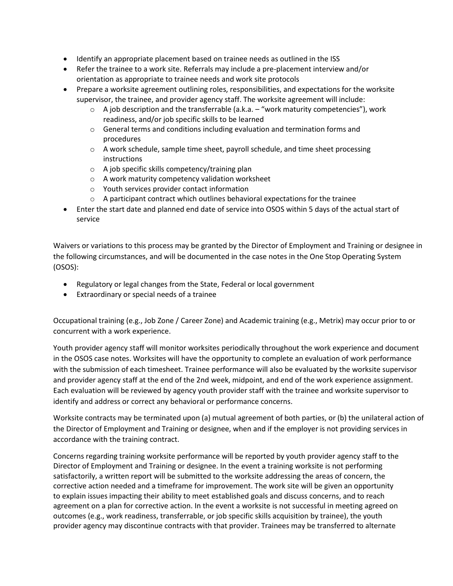- Identify an appropriate placement based on trainee needs as outlined in the ISS
- Refer the trainee to a work site. Referrals may include a pre-placement interview and/or orientation as appropriate to trainee needs and work site protocols
- Prepare a worksite agreement outlining roles, responsibilities, and expectations for the worksite supervisor, the trainee, and provider agency staff. The worksite agreement will include:
	- $\circ$  A job description and the transferrable (a.k.a. "work maturity competencies"), work readiness, and/or job specific skills to be learned
	- o General terms and conditions including evaluation and termination forms and procedures
	- $\circ$  A work schedule, sample time sheet, payroll schedule, and time sheet processing instructions
	- o A job specific skills competency/training plan
	- o A work maturity competency validation worksheet
	- o Youth services provider contact information
	- o A participant contract which outlines behavioral expectations for the trainee
- Enter the start date and planned end date of service into OSOS within 5 days of the actual start of service

Waivers or variations to this process may be granted by the Director of Employment and Training or designee in the following circumstances, and will be documented in the case notes in the One Stop Operating System (OSOS):

- Regulatory or legal changes from the State, Federal or local government
- Extraordinary or special needs of a trainee

Occupational training (e.g., Job Zone / Career Zone) and Academic training (e.g., Metrix) may occur prior to or concurrent with a work experience.

Youth provider agency staff will monitor worksites periodically throughout the work experience and document in the OSOS case notes. Worksites will have the opportunity to complete an evaluation of work performance with the submission of each timesheet. Trainee performance will also be evaluated by the worksite supervisor and provider agency staff at the end of the 2nd week, midpoint, and end of the work experience assignment. Each evaluation will be reviewed by agency youth provider staff with the trainee and worksite supervisor to identify and address or correct any behavioral or performance concerns.

Worksite contracts may be terminated upon (a) mutual agreement of both parties, or (b) the unilateral action of the Director of Employment and Training or designee, when and if the employer is not providing services in accordance with the training contract.

Concerns regarding training worksite performance will be reported by youth provider agency staff to the Director of Employment and Training or designee. In the event a training worksite is not performing satisfactorily, a written report will be submitted to the worksite addressing the areas of concern, the corrective action needed and a timeframe for improvement. The work site will be given an opportunity to explain issues impacting their ability to meet established goals and discuss concerns, and to reach agreement on a plan for corrective action. In the event a worksite is not successful in meeting agreed on outcomes (e.g., work readiness, transferrable, or job specific skills acquisition by trainee), the youth provider agency may discontinue contracts with that provider. Trainees may be transferred to alternate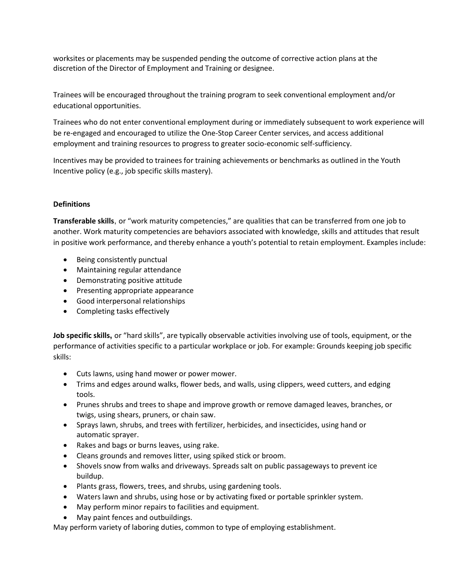worksites or placements may be suspended pending the outcome of corrective action plans at the discretion of the Director of Employment and Training or designee.

Trainees will be encouraged throughout the training program to seek conventional employment and/or educational opportunities.

Trainees who do not enter conventional employment during or immediately subsequent to work experience will be re-engaged and encouraged to utilize the One-Stop Career Center services, and access additional employment and training resources to progress to greater socio-economic self-sufficiency.

Incentives may be provided to trainees for training achievements or benchmarks as outlined in the Youth Incentive policy (e.g., job specific skills mastery).

## **Definitions**

**Transferable skills**, or "work maturity competencies," are qualities that can be transferred from one job to another. Work maturity competencies are behaviors associated with knowledge, skills and attitudes that result in positive work performance, and thereby enhance a youth's potential to retain employment. Examples include:

- Being consistently punctual
- Maintaining regular attendance
- Demonstrating positive attitude
- Presenting appropriate appearance
- Good interpersonal relationships
- Completing tasks effectively

**Job specific skills,** or "hard skills", are typically observable activities involving use of tools, equipment, or the performance of activities specific to a particular workplace or job. For example: Grounds keeping job specific skills:

- Cuts lawns, using hand mower or power mower.
- Trims and edges around walks, flower beds, and walls, using clippers, weed cutters, and edging tools.
- Prunes shrubs and trees to shape and improve growth or remove damaged leaves, branches, or twigs, using shears, pruners, or chain saw.
- Sprays lawn, shrubs, and trees with fertilizer, herbicides, and insecticides, using hand or automatic sprayer.
- Rakes and bags or burns leaves, using rake.
- Cleans grounds and removes litter, using spiked stick or broom.
- Shovels snow from walks and driveways. Spreads salt on public passageways to prevent ice buildup.
- Plants grass, flowers, trees, and shrubs, using gardening tools.
- Waters lawn and shrubs, using hose or by activating fixed or portable sprinkler system.
- May perform minor repairs to facilities and equipment.
- May paint fences and outbuildings.

May perform variety of laboring duties, common to type of employing establishment.